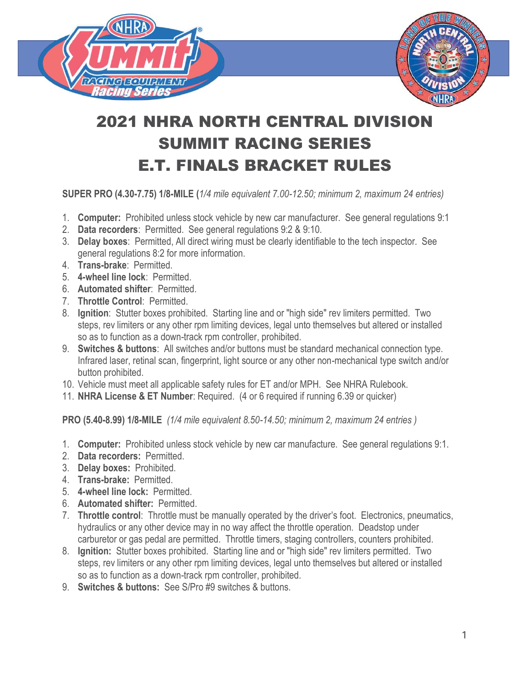

## 2021 NHRA NORTH CENTRAL DIVISION SUMMIT RACING SERIES E.T. FINALS BRACKET RULES

SUPER PRO (4.30-7.75) 1/8-MILE (1/4 mile equivalent 7.00-12.50; minimum 2, maximum 24 entries)

- 1. Computer: Prohibited unless stock vehicle by new car manufacturer. See general regulations 9:1
- 2. Data recorders: Permitted. See general regulations 9:2 & 9:10.
- 3. Delay boxes: Permitted, All direct wiring must be clearly identifiable to the tech inspector. See general regulations 8:2 for more information.
- 4. Trans-brake: Permitted.
- 5. 4-wheel line lock: Permitted.
- 6. Automated shifter: Permitted.
- 7. Throttle Control: Permitted.
- 8. Ignition: Stutter boxes prohibited. Starting line and or "high side" rev limiters permitted. Two steps, rev limiters or any other rpm limiting devices, legal unto themselves but altered or installed so as to function as a down-track rpm controller, prohibited.
- 9. **Switches & buttons**: All switches and/or buttons must be standard mechanical connection type. Infrared laser, retinal scan, fingerprint, light source or any other non-mechanical type switch and/or button prohibited.
- 10. Vehicle must meet all applicable safety rules for ET and/or MPH. See NHRA Rulebook.
- 11. NHRA License & ET Number: Required. (4 or 6 required if running 6.39 or quicker)

PRO (5.40-8.99) 1/8-MILE (1/4 mile equivalent 8.50-14.50; minimum 2, maximum 24 entries )

- 1. Computer: Prohibited unless stock vehicle by new car manufacture. See general regulations 9:1.
- 2. Data recorders: Permitted.
- 3. Delay boxes: Prohibited.
- 4. Trans-brake: Permitted.
- 5. 4-wheel line lock: Permitted.
- 6. Automated shifter: Permitted.
- 7. Throttle control: Throttle must be manually operated by the driver's foot. Electronics, pneumatics, hydraulics or any other device may in no way affect the throttle operation. Deadstop under carburetor or gas pedal are permitted. Throttle timers, staging controllers, counters prohibited.
- 8. Ignition: Stutter boxes prohibited. Starting line and or "high side" rev limiters permitted. Two steps, rev limiters or any other rpm limiting devices, legal unto themselves but altered or installed so as to function as a down-track rpm controller, prohibited.
- 9. Switches & buttons: See S/Pro #9 switches & buttons.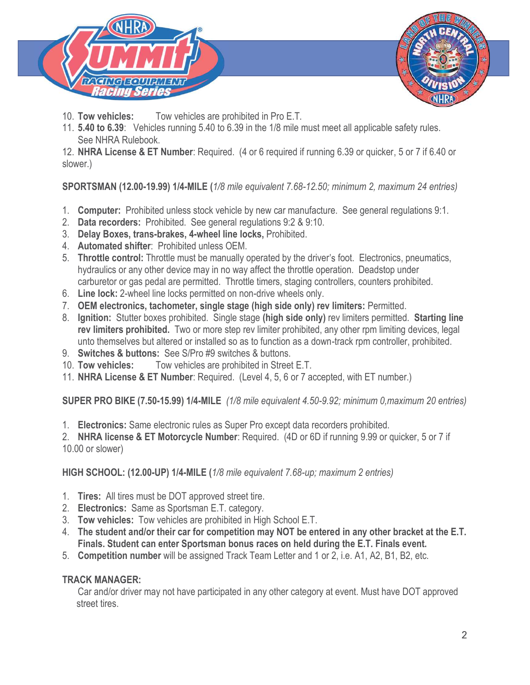

- 10. Tow vehicles: Tow vehicles are prohibited in Pro E.T.
- 11. 5.40 to 6.39: Vehicles running 5.40 to 6.39 in the 1/8 mile must meet all applicable safety rules. See NHRA Rulebook.

12. NHRA License & ET Number: Required. (4 or 6 required if running 6.39 or quicker, 5 or 7 if 6.40 or slower.)

SPORTSMAN (12.00-19.99) 1/4-MILE (1/8 mile equivalent 7.68-12.50; minimum 2, maximum 24 entries)

- 1. Computer: Prohibited unless stock vehicle by new car manufacture. See general regulations 9:1.
- 2. Data recorders: Prohibited. See general regulations 9:2 & 9:10.
- 3. Delay Boxes, trans-brakes, 4-wheel line locks, Prohibited.
- 4. Automated shifter: Prohibited unless OEM.
- 5. Throttle control: Throttle must be manually operated by the driver's foot. Electronics, pneumatics, hydraulics or any other device may in no way affect the throttle operation. Deadstop under carburetor or gas pedal are permitted. Throttle timers, staging controllers, counters prohibited.
- 6. Line lock: 2-wheel line locks permitted on non-drive wheels only.
- 7. OEM electronics, tachometer, single stage (high side only) rev limiters: Permitted.
- 8. Ignition: Stutter boxes prohibited. Single stage (high side only) rev limiters permitted. Starting line rev limiters prohibited. Two or more step rev limiter prohibited, any other rpm limiting devices, legal unto themselves but altered or installed so as to function as a down-track rpm controller, prohibited.
- 9. Switches & buttons: See S/Pro #9 switches & buttons.
- 10. Tow vehicles: Tow vehicles are prohibited in Street E.T.
- 11. NHRA License & ET Number: Required. (Level 4, 5, 6 or 7 accepted, with ET number.)

SUPER PRO BIKE (7.50-15.99) 1/4-MILE (1/8 mile equivalent 4.50-9.92; minimum 0,maximum 20 entries)

1. Electronics: Same electronic rules as Super Pro except data recorders prohibited.

2. NHRA license & ET Motorcycle Number: Required. (4D or 6D if running 9.99 or quicker, 5 or 7 if 10.00 or slower)

HIGH SCHOOL: (12.00-UP) 1/4-MILE (1/8 mile equivalent 7.68-up; maximum 2 entries)

- 1. Tires: All tires must be DOT approved street tire.
- 2. Electronics: Same as Sportsman E.T. category.
- 3. Tow vehicles: Tow vehicles are prohibited in High School E.T.
- 4. The student and/or their car for competition may NOT be entered in any other bracket at the E.T. Finals. Student can enter Sportsman bonus races on held during the E.T. Finals event.
- 5. Competition number will be assigned Track Team Letter and 1 or 2, i.e. A1, A2, B1, B2, etc.

## TRACK MANAGER:

 Car and/or driver may not have participated in any other category at event. Must have DOT approved street tires.